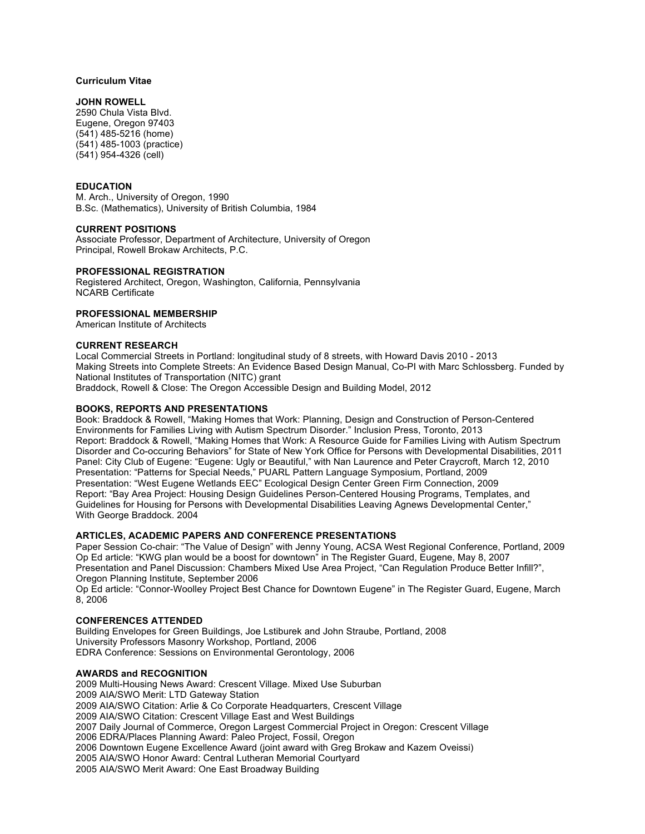## **Curriculum Vitae**

## **JOHN ROWELL**

2590 Chula Vista Blvd. Eugene, Oregon 97403 (541) 485-5216 (home) (541) 485-1003 (practice) (541) 954-4326 (cell)

## **EDUCATION**

M. Arch., University of Oregon, 1990 B.Sc. (Mathematics), University of British Columbia, 1984

### **CURRENT POSITIONS**

Associate Professor, Department of Architecture, University of Oregon Principal, Rowell Brokaw Architects, P.C.

## **PROFESSIONAL REGISTRATION**

Registered Architect, Oregon, Washington, California, Pennsylvania NCARB Certificate

**PROFESSIONAL MEMBERSHIP**

American Institute of Architects

### **CURRENT RESEARCH**

Local Commercial Streets in Portland: longitudinal study of 8 streets, with Howard Davis 2010 - 2013 Making Streets into Complete Streets: An Evidence Based Design Manual, Co-PI with Marc Schlossberg. Funded by National Institutes of Transportation (NITC) grant Braddock, Rowell & Close: The Oregon Accessible Design and Building Model, 2012

# **BOOKS, REPORTS AND PRESENTATIONS**

Book: Braddock & Rowell, "Making Homes that Work: Planning, Design and Construction of Person-Centered Environments for Families Living with Autism Spectrum Disorder." Inclusion Press, Toronto, 2013 Report: Braddock & Rowell, "Making Homes that Work: A Resource Guide for Families Living with Autism Spectrum Disorder and Co-occuring Behaviors" for State of New York Office for Persons with Developmental Disabilities, 2011 Panel: City Club of Eugene: "Eugene: Ugly or Beautiful," with Nan Laurence and Peter Craycroft, March 12, 2010 Presentation: "Patterns for Special Needs," PUARL Pattern Language Symposium, Portland, 2009 Presentation: "West Eugene Wetlands EEC" Ecological Design Center Green Firm Connection, 2009 Report: "Bay Area Project: Housing Design Guidelines Person-Centered Housing Programs, Templates, and Guidelines for Housing for Persons with Developmental Disabilities Leaving Agnews Developmental Center," With George Braddock. 2004

## **ARTICLES, ACADEMIC PAPERS AND CONFERENCE PRESENTATIONS**

Paper Session Co-chair: "The Value of Design" with Jenny Young, ACSA West Regional Conference, Portland, 2009 Op Ed article: "KWG plan would be a boost for downtown" in The Register Guard, Eugene, May 8, 2007 Presentation and Panel Discussion: Chambers Mixed Use Area Project, "Can Regulation Produce Better Infill?", Oregon Planning Institute, September 2006

Op Ed article: "Connor-Woolley Project Best Chance for Downtown Eugene" in The Register Guard, Eugene, March 8, 2006

### **CONFERENCES ATTENDED**

Building Envelopes for Green Buildings, Joe Lstiburek and John Straube, Portland, 2008 University Professors Masonry Workshop, Portland, 2006 EDRA Conference: Sessions on Environmental Gerontology, 2006

### **AWARDS and RECOGNITION**

2009 Multi-Housing News Award: Crescent Village. Mixed Use Suburban 2009 AIA/SWO Merit: LTD Gateway Station 2009 AIA/SWO Citation: Arlie & Co Corporate Headquarters, Crescent Village 2009 AIA/SWO Citation: Crescent Village East and West Buildings 2007 Daily Journal of Commerce, Oregon Largest Commercial Project in Oregon: Crescent Village 2006 EDRA/Places Planning Award: Paleo Project, Fossil, Oregon 2006 Downtown Eugene Excellence Award (joint award with Greg Brokaw and Kazem Oveissi) 2005 AIA/SWO Honor Award: Central Lutheran Memorial Courtyard 2005 AIA/SWO Merit Award: One East Broadway Building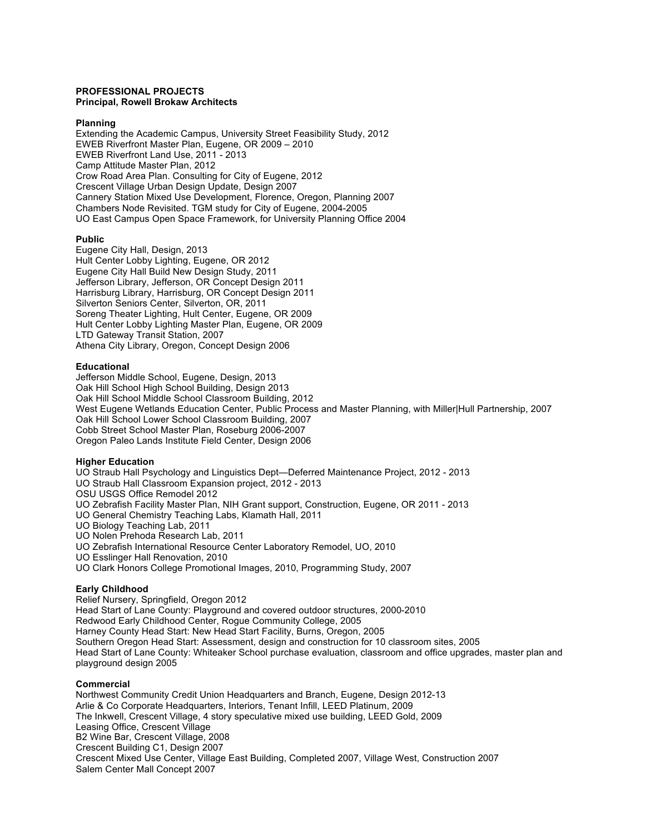#### **PROFESSIONAL PROJECTS Principal, Rowell Brokaw Architects**

### **Planning**

Extending the Academic Campus, University Street Feasibility Study, 2012 EWEB Riverfront Master Plan, Eugene, OR 2009 – 2010 EWEB Riverfront Land Use, 2011 - 2013 Camp Attitude Master Plan, 2012 Crow Road Area Plan. Consulting for City of Eugene, 2012 Crescent Village Urban Design Update, Design 2007 Cannery Station Mixed Use Development, Florence, Oregon, Planning 2007 Chambers Node Revisited. TGM study for City of Eugene, 2004-2005 UO East Campus Open Space Framework, for University Planning Office 2004

## **Public**

Eugene City Hall, Design, 2013 Hult Center Lobby Lighting, Eugene, OR 2012 Eugene City Hall Build New Design Study, 2011 Jefferson Library, Jefferson, OR Concept Design 2011 Harrisburg Library, Harrisburg, OR Concept Design 2011 Silverton Seniors Center, Silverton, OR, 2011 Soreng Theater Lighting, Hult Center, Eugene, OR 2009 Hult Center Lobby Lighting Master Plan, Eugene, OR 2009 LTD Gateway Transit Station, 2007 Athena City Library, Oregon, Concept Design 2006

### **Educational**

Jefferson Middle School, Eugene, Design, 2013 Oak Hill School High School Building, Design 2013 Oak Hill School Middle School Classroom Building, 2012 West Eugene Wetlands Education Center, Public Process and Master Planning, with Miller|Hull Partnership, 2007 Oak Hill School Lower School Classroom Building, 2007 Cobb Street School Master Plan, Roseburg 2006-2007 Oregon Paleo Lands Institute Field Center, Design 2006

### **Higher Education**

UO Straub Hall Psychology and Linguistics Dept—Deferred Maintenance Project, 2012 - 2013 UO Straub Hall Classroom Expansion project, 2012 - 2013 OSU USGS Office Remodel 2012 UO Zebrafish Facility Master Plan, NIH Grant support, Construction, Eugene, OR 2011 - 2013 UO General Chemistry Teaching Labs, Klamath Hall, 2011 UO Biology Teaching Lab, 2011 UO Nolen Prehoda Research Lab, 2011 UO Zebrafish International Resource Center Laboratory Remodel, UO, 2010 UO Esslinger Hall Renovation, 2010 UO Clark Honors College Promotional Images, 2010, Programming Study, 2007

# **Early Childhood**

Relief Nursery, Springfield, Oregon 2012 Head Start of Lane County: Playground and covered outdoor structures, 2000-2010 Redwood Early Childhood Center, Rogue Community College, 2005 Harney County Head Start: New Head Start Facility, Burns, Oregon, 2005 Southern Oregon Head Start: Assessment, design and construction for 10 classroom sites, 2005 Head Start of Lane County: Whiteaker School purchase evaluation, classroom and office upgrades, master plan and playground design 2005

### **Commercial**

Northwest Community Credit Union Headquarters and Branch, Eugene, Design 2012-13 Arlie & Co Corporate Headquarters, Interiors, Tenant Infill, LEED Platinum, 2009 The Inkwell, Crescent Village, 4 story speculative mixed use building, LEED Gold, 2009 Leasing Office, Crescent Village B2 Wine Bar, Crescent Village, 2008 Crescent Building C1, Design 2007 Crescent Mixed Use Center, Village East Building, Completed 2007, Village West, Construction 2007 Salem Center Mall Concept 2007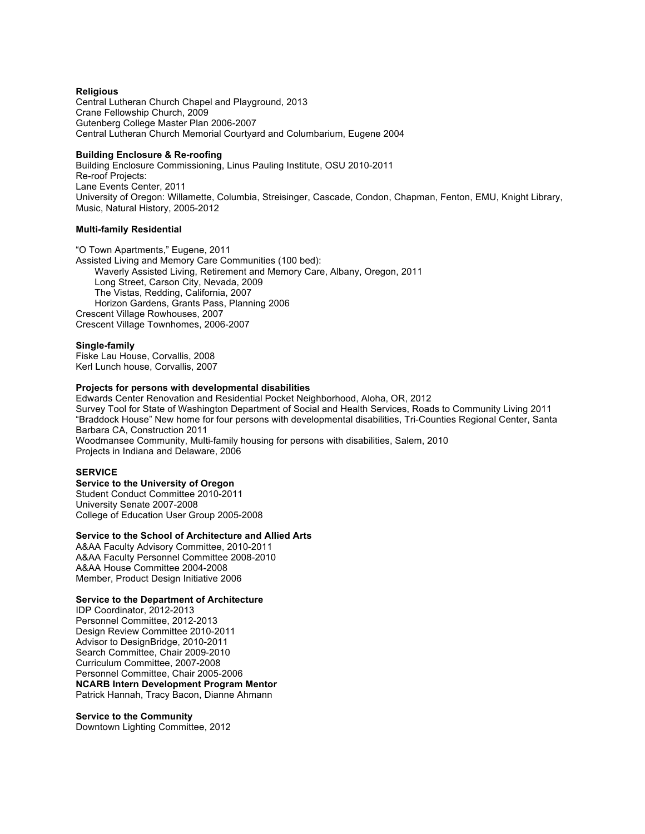### **Religious**

Central Lutheran Church Chapel and Playground, 2013 Crane Fellowship Church, 2009 Gutenberg College Master Plan 2006-2007 Central Lutheran Church Memorial Courtyard and Columbarium, Eugene 2004

## **Building Enclosure & Re-roofing**

Building Enclosure Commissioning, Linus Pauling Institute, OSU 2010-2011 Re-roof Projects: Lane Events Center, 2011 University of Oregon: Willamette, Columbia, Streisinger, Cascade, Condon, Chapman, Fenton, EMU, Knight Library, Music, Natural History, 2005-2012

### **Multi-family Residential**

"O Town Apartments," Eugene, 2011 Assisted Living and Memory Care Communities (100 bed): Waverly Assisted Living, Retirement and Memory Care, Albany, Oregon, 2011 Long Street, Carson City, Nevada, 2009 The Vistas, Redding, California, 2007 Horizon Gardens, Grants Pass, Planning 2006 Crescent Village Rowhouses, 2007 Crescent Village Townhomes, 2006-2007

### **Single-family**

Fiske Lau House, Corvallis, 2008 Kerl Lunch house, Corvallis, 2007

# **Projects for persons with developmental disabilities**

Edwards Center Renovation and Residential Pocket Neighborhood, Aloha, OR, 2012 Survey Tool for State of Washington Department of Social and Health Services, Roads to Community Living 2011 "Braddock House" New home for four persons with developmental disabilities, Tri-Counties Regional Center, Santa Barbara CA, Construction 2011 Woodmansee Community, Multi-family housing for persons with disabilities, Salem, 2010 Projects in Indiana and Delaware, 2006

## **SERVICE**

## **Service to the University of Oregon**

Student Conduct Committee 2010-2011 University Senate 2007-2008 College of Education User Group 2005-2008

### **Service to the School of Architecture and Allied Arts**

A&AA Faculty Advisory Committee, 2010-2011 A&AA Faculty Personnel Committee 2008-2010 A&AA House Committee 2004-2008 Member, Product Design Initiative 2006

### **Service to the Department of Architecture**

IDP Coordinator, 2012-2013 Personnel Committee, 2012-2013 Design Review Committee 2010-2011 Advisor to DesignBridge, 2010-2011 Search Committee, Chair 2009-2010 Curriculum Committee, 2007-2008 Personnel Committee, Chair 2005-2006 **NCARB Intern Development Program Mentor** Patrick Hannah, Tracy Bacon, Dianne Ahmann

### **Service to the Community**

Downtown Lighting Committee, 2012